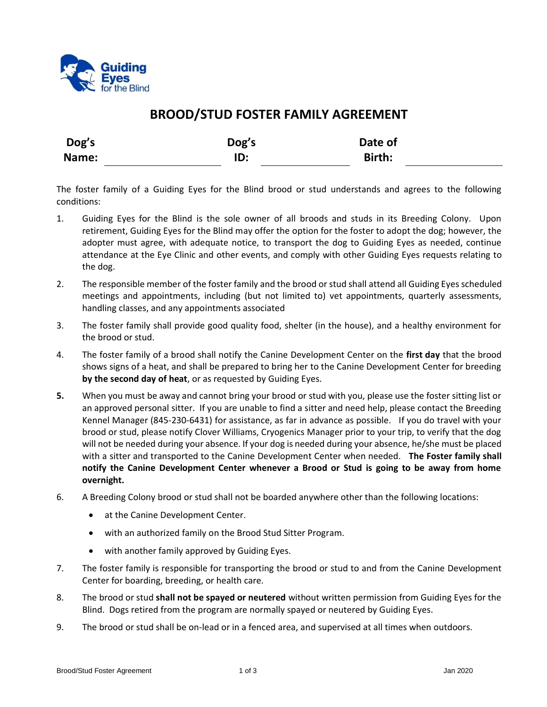

## **BROOD/STUD FOSTER FAMILY AGREEMENT**

| Dog's | Dog's | Date of |  |
|-------|-------|---------|--|
| Name: | ID:   | Birth:  |  |

The foster family of a Guiding Eyes for the Blind brood or stud understands and agrees to the following conditions:

- 1. Guiding Eyes for the Blind is the sole owner of all broods and studs in its Breeding Colony. Upon retirement, Guiding Eyes for the Blind may offer the option for the foster to adopt the dog; however, the adopter must agree, with adequate notice, to transport the dog to Guiding Eyes as needed, continue attendance at the Eye Clinic and other events, and comply with other Guiding Eyes requests relating to the dog.
- 2. The responsible member of the foster family and the brood or stud shall attend all Guiding Eyes scheduled meetings and appointments, including (but not limited to) vet appointments, quarterly assessments, handling classes, and any appointments associated
- 3. The foster family shall provide good quality food, shelter (in the house), and a healthy environment for the brood or stud.
- 4. The foster family of a brood shall notify the Canine Development Center on the **first day** that the brood shows signs of a heat, and shall be prepared to bring her to the Canine Development Center for breeding **by the second day of heat**, or as requested by Guiding Eyes.
- **5.** When you must be away and cannot bring your brood or stud with you, please use the foster sitting list or an approved personal sitter. If you are unable to find a sitter and need help, please contact the Breeding Kennel Manager (845-230-6431) for assistance, as far in advance as possible. If you do travel with your brood or stud, please notify Clover Williams, Cryogenics Manager prior to your trip, to verify that the dog will not be needed during your absence. If your dog is needed during your absence, he/she must be placed with a sitter and transported to the Canine Development Center when needed. **The Foster family shall notify the Canine Development Center whenever a Brood or Stud is going to be away from home overnight.**
- 6. A Breeding Colony brood or stud shall not be boarded anywhere other than the following locations:
	- at the Canine Development Center.
	- with an authorized family on the Brood Stud Sitter Program.
	- with another family approved by Guiding Eyes.
- 7. The foster family is responsible for transporting the brood or stud to and from the Canine Development Center for boarding, breeding, or health care.
- 8. The brood or stud **shall not be spayed or neutered** without written permission from Guiding Eyes for the Blind. Dogs retired from the program are normally spayed or neutered by Guiding Eyes.
- 9. The brood or stud shall be on-lead or in a fenced area, and supervised at all times when outdoors.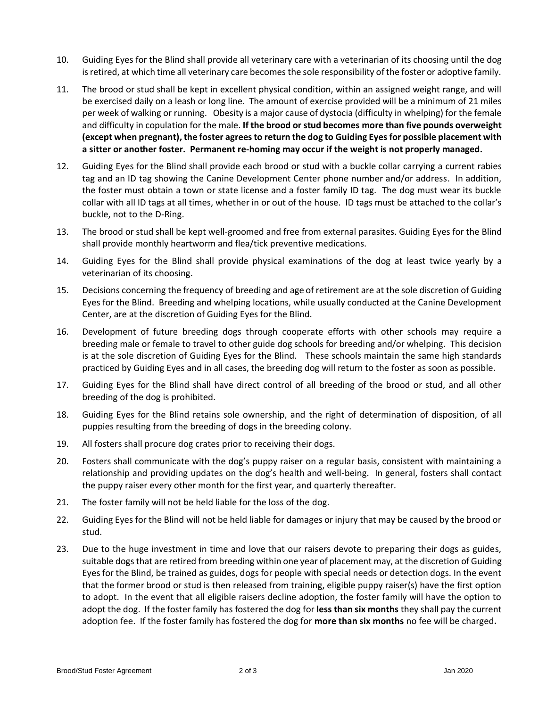- 10. Guiding Eyes for the Blind shall provide all veterinary care with a veterinarian of its choosing until the dog is retired, at which time all veterinary care becomes the sole responsibility of the foster or adoptive family.
- 11. The brood or stud shall be kept in excellent physical condition, within an assigned weight range, and will be exercised daily on a leash or long line. The amount of exercise provided will be a minimum of 21 miles per week of walking or running. Obesity is a major cause of dystocia (difficulty in whelping) for the female and difficulty in copulation for the male. **If the brood or stud becomes more than five pounds overweight (except when pregnant), the foster agrees to return the dog to Guiding Eyes for possible placement with a sitter or another foster. Permanent re-homing may occur if the weight is not properly managed.**
- 12. Guiding Eyes for the Blind shall provide each brood or stud with a buckle collar carrying a current rabies tag and an ID tag showing the Canine Development Center phone number and/or address. In addition, the foster must obtain a town or state license and a foster family ID tag. The dog must wear its buckle collar with all ID tags at all times, whether in or out of the house. ID tags must be attached to the collar's buckle, not to the D-Ring.
- 13. The brood or stud shall be kept well-groomed and free from external parasites. Guiding Eyes for the Blind shall provide monthly heartworm and flea/tick preventive medications.
- 14. Guiding Eyes for the Blind shall provide physical examinations of the dog at least twice yearly by a veterinarian of its choosing.
- 15. Decisions concerning the frequency of breeding and age of retirement are at the sole discretion of Guiding Eyes for the Blind. Breeding and whelping locations, while usually conducted at the Canine Development Center, are at the discretion of Guiding Eyes for the Blind.
- 16. Development of future breeding dogs through cooperate efforts with other schools may require a breeding male or female to travel to other guide dog schools for breeding and/or whelping. This decision is at the sole discretion of Guiding Eyes for the Blind. These schools maintain the same high standards practiced by Guiding Eyes and in all cases, the breeding dog will return to the foster as soon as possible.
- 17. Guiding Eyes for the Blind shall have direct control of all breeding of the brood or stud, and all other breeding of the dog is prohibited.
- 18. Guiding Eyes for the Blind retains sole ownership, and the right of determination of disposition, of all puppies resulting from the breeding of dogs in the breeding colony.
- 19. All fosters shall procure dog crates prior to receiving their dogs.
- 20. Fosters shall communicate with the dog's puppy raiser on a regular basis, consistent with maintaining a relationship and providing updates on the dog's health and well-being. In general, fosters shall contact the puppy raiser every other month for the first year, and quarterly thereafter.
- 21. The foster family will not be held liable for the loss of the dog.
- 22. Guiding Eyes for the Blind will not be held liable for damages or injury that may be caused by the brood or stud.
- 23. Due to the huge investment in time and love that our raisers devote to preparing their dogs as guides, suitable dogs that are retired from breeding within one year of placement may, at the discretion of Guiding Eyes for the Blind, be trained as guides, dogs for people with special needs or detection dogs. In the event that the former brood or stud is then released from training, eligible puppy raiser(s) have the first option to adopt. In the event that all eligible raisers decline adoption, the foster family will have the option to adopt the dog. If the foster family has fostered the dog for **less than six months** they shall pay the current adoption fee. If the foster family has fostered the dog for **more than six months** no fee will be charged**.**